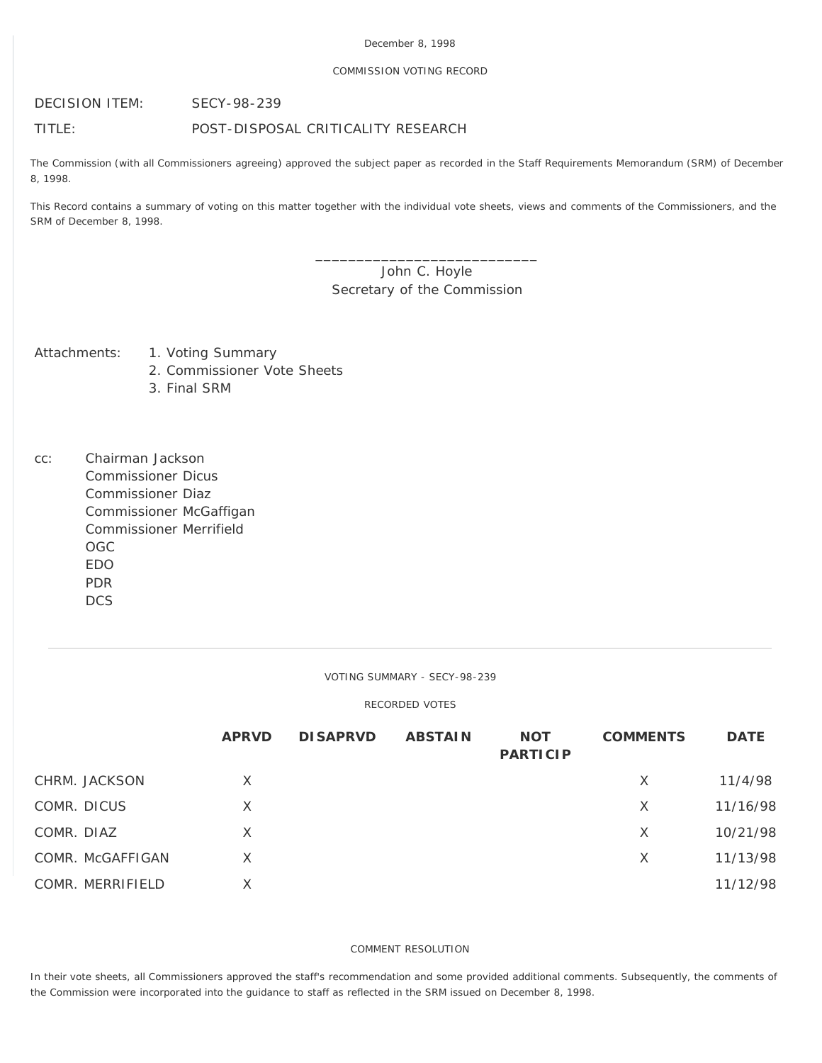## December 8, 1998

#### COMMISSION VOTING RECORD

DECISION ITEM: SECY-98-239

TITLE: POST-DISPOSAL CRITICALITY RESEARCH

The Commission (with all Commissioners agreeing) approved the subject paper as recorded in the Staff Requirements Memorandum (SRM) of December 8, 1998.

This Record contains a summary of voting on this matter together with the individual vote sheets, views and comments of the Commissioners, and the SRM of December 8, 1998.

# John C. Hoyle Secretary of the Commission

\_\_\_\_\_\_\_\_\_\_\_\_\_\_\_\_\_\_\_\_\_\_\_\_\_\_\_

- Attachments: 1. Voting Summary
	- 2. Commissioner Vote Sheets
	- 3. Final SRM
- cc: Chairman Jackson Commissioner Dicus Commissioner Diaz Commissioner McGaffigan Commissioner Merrifield OGC EDO PDR **DCS**

VOTING SUMMARY - SECY-98-239

#### RECORDED VOTES

|                  | <b>APRVD</b> | <b>DISAPRVD</b> | <b>ABSTAIN</b> | <b>NOT</b><br><b>PARTICIP</b> | <b>COMMENTS</b> | <b>DATE</b> |
|------------------|--------------|-----------------|----------------|-------------------------------|-----------------|-------------|
| CHRM. JACKSON    | X            |                 |                |                               | X               | 11/4/98     |
| COMR. DICUS      | X            |                 |                |                               | X               | 11/16/98    |
| COMR. DIAZ       | X            |                 |                |                               | X               | 10/21/98    |
| COMR. McGAFFIGAN | X            |                 |                |                               | X               | 11/13/98    |
| COMR. MERRIFIELD | Χ            |                 |                |                               |                 | 11/12/98    |

## COMMENT RESOLUTION

In their vote sheets, all Commissioners approved the staff's recommendation and some provided additional comments. Subsequently, the comments of the Commission were incorporated into the guidance to staff as reflected in the SRM issued on December 8, 1998.